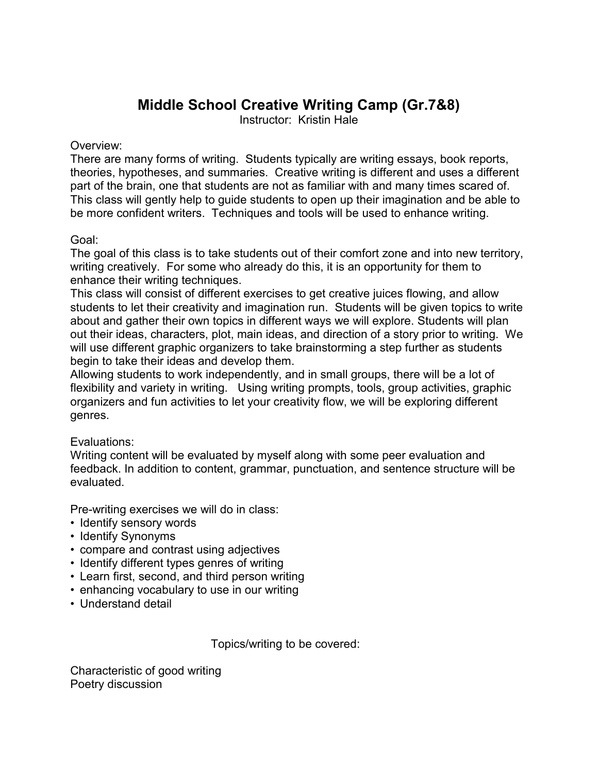## **Middle School Creative Writing Camp (Gr.7&8)**

Instructor: Kristin Hale

## Overview:

There are many forms of writing. Students typically are writing essays, book reports, theories, hypotheses, and summaries. Creative writing is different and uses a different part of the brain, one that students are not as familiar with and many times scared of. This class will gently help to guide students to open up their imagination and be able to be more confident writers. Techniques and tools will be used to enhance writing.

## Goal:

The goal of this class is to take students out of their comfort zone and into new territory, writing creatively. For some who already do this, it is an opportunity for them to enhance their writing techniques.

This class will consist of different exercises to get creative juices flowing, and allow students to let their creativity and imagination run. Students will be given topics to write about and gather their own topics in different ways we will explore. Students will plan out their ideas, characters, plot, main ideas, and direction of a story prior to writing. We will use different graphic organizers to take brainstorming a step further as students begin to take their ideas and develop them.

Allowing students to work independently, and in small groups, there will be a lot of flexibility and variety in writing. Using writing prompts, tools, group activities, graphic organizers and fun activities to let your creativity flow, we will be exploring different genres.

## Evaluations:

Writing content will be evaluated by myself along with some peer evaluation and feedback. In addition to content, grammar, punctuation, and sentence structure will be evaluated.

Pre-writing exercises we will do in class:

- Identify sensory words
- Identify Synonyms
- compare and contrast using adjectives
- Identify different types genres of writing
- Learn first, second, and third person writing
- enhancing vocabulary to use in our writing
- Understand detail

Topics/writing to be covered:

Characteristic of good writing Poetry discussion